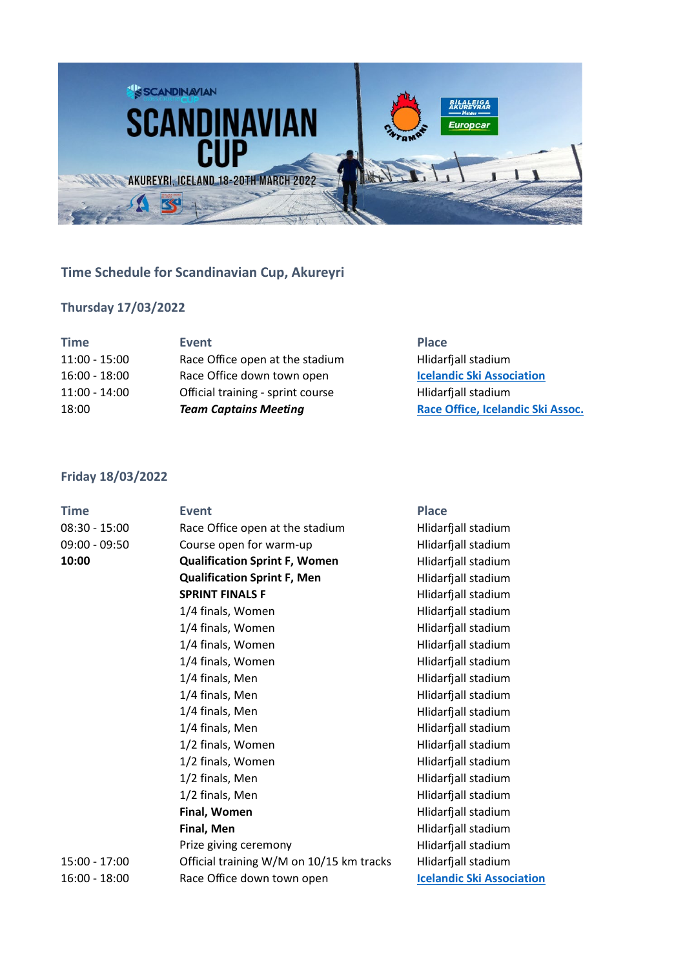

# **Time Schedule for Scandinavian Cup, Akureyri**

## **Thursday 17/03/2022**

| Event                             | <b>Place</b>                      |
|-----------------------------------|-----------------------------------|
| Race Office open at the stadium   | Hlidarfjall stadium               |
| Race Office down town open        | <b>Icelandic Ski Association</b>  |
| Official training - sprint course | Hlidarfjall stadium               |
| <b>Team Captains Meeting</b>      | Race Office, Icelandic Ski Assoc. |
|                                   |                                   |

### **Friday 18/03/2022**

| <b>Time</b>     | <b>Event</b>                             | <b>Place</b>                     |
|-----------------|------------------------------------------|----------------------------------|
| $08:30 - 15:00$ | Race Office open at the stadium          | Hlidarfjall stadium              |
| $09:00 - 09:50$ | Course open for warm-up                  | Hlidarfjall stadium              |
| 10:00           | <b>Qualification Sprint F, Women</b>     | Hlidarfjall stadium              |
|                 | <b>Qualification Sprint F, Men</b>       | Hlidarfjall stadium              |
|                 | <b>SPRINT FINALS F</b>                   | Hlidarfjall stadium              |
|                 | 1/4 finals, Women                        | Hlidarfjall stadium              |
|                 | 1/4 finals, Women                        | Hlidarfjall stadium              |
|                 | 1/4 finals, Women                        | Hlidarfjall stadium              |
|                 | 1/4 finals, Women                        | Hlidarfjall stadium              |
|                 | 1/4 finals, Men                          | Hlidarfjall stadium              |
|                 | 1/4 finals, Men                          | Hlidarfjall stadium              |
|                 | 1/4 finals, Men                          | Hlidarfjall stadium              |
|                 | 1/4 finals, Men                          | Hlidarfjall stadium              |
|                 | 1/2 finals, Women                        | Hlidarfjall stadium              |
|                 | 1/2 finals, Women                        | Hlidarfjall stadium              |
|                 | 1/2 finals, Men                          | Hlidarfjall stadium              |
|                 | 1/2 finals, Men                          | Hlidarfjall stadium              |
|                 | Final, Women                             | Hlidarfjall stadium              |
|                 | Final, Men                               | Hlidarfjall stadium              |
|                 | Prize giving ceremony                    | Hlidarfjall stadium              |
| $15:00 - 17:00$ | Official training W/M on 10/15 km tracks | Hlidarfjall stadium              |
| $16:00 - 18:00$ | Race Office down town open               | <b>Icelandic Ski Association</b> |